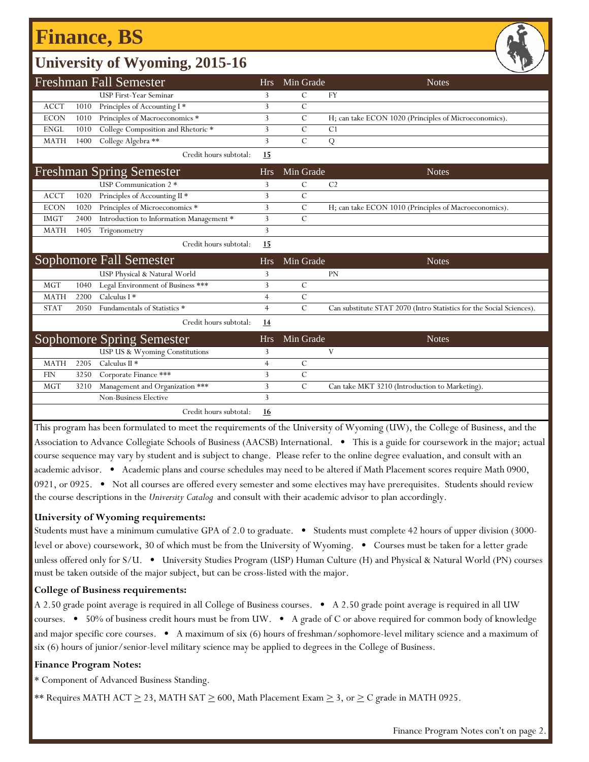## **Finance, BS**

### **University of Wyoming, 2015-16**

|             |      | <b>Freshman Fall Semester</b>            | <b>Hrs</b>     | Min Grade     | <b>Notes</b>                                                         |
|-------------|------|------------------------------------------|----------------|---------------|----------------------------------------------------------------------|
|             |      | <b>USP First-Year Seminar</b>            | 3              | $\mathcal{C}$ | FY                                                                   |
| <b>ACCT</b> | 1010 | Principles of Accounting I*              | 3              | $\mathcal{C}$ |                                                                      |
| <b>ECON</b> | 1010 | Principles of Macroeconomics *           | 3              | $\mathcal{C}$ | H; can take ECON 1020 (Principles of Microeconomics).                |
| <b>ENGL</b> | 1010 | College Composition and Rhetoric *       | 3              | $\mathcal{C}$ | C <sub>1</sub>                                                       |
| <b>MATH</b> | 1400 | College Algebra **                       | 3              | $\mathcal{C}$ | Q                                                                    |
|             |      | Credit hours subtotal:                   | 15             |               |                                                                      |
|             |      | <b>Freshman Spring Semester</b>          | <b>Hrs</b>     | Min Grade     | <b>Notes</b>                                                         |
|             |      | USP Communication 2 *                    | 3              | $\mathcal{C}$ | C <sub>2</sub>                                                       |
| <b>ACCT</b> | 1020 | Principles of Accounting II *            | 3              | $\mathcal{C}$ |                                                                      |
| <b>ECON</b> | 1020 | Principles of Microeconomics *           | 3              | $\mathcal{C}$ | H; can take ECON 1010 (Principles of Macroeconomics).                |
| <b>IMGT</b> | 2400 | Introduction to Information Management * | 3              | $\mathcal{C}$ |                                                                      |
| <b>MATH</b> | 1405 | Trigonometry                             | 3              |               |                                                                      |
|             |      | Credit hours subtotal:                   | 15             |               |                                                                      |
|             |      | Sophomore Fall Semester                  | <b>Hrs</b>     | Min Grade     | <b>Notes</b>                                                         |
|             |      | USP Physical & Natural World             | 3              |               | PN                                                                   |
| <b>MGT</b>  | 1040 | Legal Environment of Business ***        | 3              | $\mathcal{C}$ |                                                                      |
| <b>MATH</b> | 2200 | Calculus I *                             | 4              | $\mathcal{C}$ |                                                                      |
| <b>STAT</b> | 2050 | Fundamentals of Statistics *             | $\overline{4}$ | $\mathcal{C}$ | Can substitute STAT 2070 (Intro Statistics for the Social Sciences). |
|             |      | Credit hours subtotal:                   | 14             |               |                                                                      |
|             |      | Sophomore Spring Semester                | <b>Hrs</b>     | Min Grade     | <b>Notes</b>                                                         |
|             |      | USP US & Wyoming Constitutions           | 3              |               | V                                                                    |
| <b>MATH</b> | 2205 | Calculus II <sup>*</sup>                 | $\overline{4}$ | $\mathcal{C}$ |                                                                      |
| <b>FIN</b>  | 3250 | Corporate Finance ***                    | 3              | $\mathbf C$   |                                                                      |
| <b>MGT</b>  | 3210 | Management and Organization ***          | 3              | $\mathcal{C}$ | Can take MKT 3210 (Introduction to Marketing).                       |
|             |      | Non-Business Elective                    | 3              |               |                                                                      |
|             |      | Credit hours subtotal:                   | <u>16</u>      |               |                                                                      |

This program has been formulated to meet the requirements of the University of Wyoming (UW), the College of Business, and the Association to Advance Collegiate Schools of Business (AACSB) International. • This is a guide for coursework in the major; actual course sequence may vary by student and is subject to change. Please refer to the online degree evaluation, and consult with an academic advisor. • Academic plans and course schedules may need to be altered if Math Placement scores require Math 0900, 0921, or 0925. • Not all courses are offered every semester and some electives may have prerequisites. Students should review the course descriptions in the *University Catalog* and consult with their academic advisor to plan accordingly.

#### **University of Wyoming requirements:**

Students must have a minimum cumulative GPA of 2.0 to graduate. • Students must complete 42 hours of upper division (3000 level or above) coursework, 30 of which must be from the University of Wyoming. • Courses must be taken for a letter grade unless offered only for S/U. • University Studies Program (USP) Human Culture (H) and Physical & Natural World (PN) courses must be taken outside of the major subject, but can be cross-listed with the major.

#### **College of Business requirements:**

A 2.50 grade point average is required in all College of Business courses. • A 2.50 grade point average is required in all UW courses. • 50% of business credit hours must be from UW. • A grade of C or above required for common body of knowledge and major specific core courses. • A maximum of six (6) hours of freshman/sophomore-level military science and a maximum of six (6) hours of junior/senior-level military science may be applied to degrees in the College of Business.

#### **Finance Program Notes:**

\* Component of Advanced Business Standing.

\*\* Requires MATH ACT  $\geq$  23, MATH SAT  $\geq$  600, Math Placement Exam  $\geq$  3, or  $\geq$  C grade in MATH 0925.